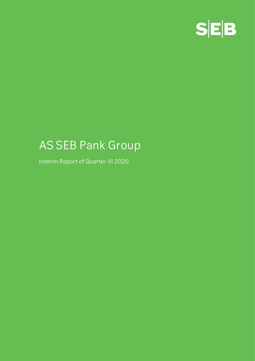

# **AS SEB Pank Group**

**Interim Report of Quarter III 2020**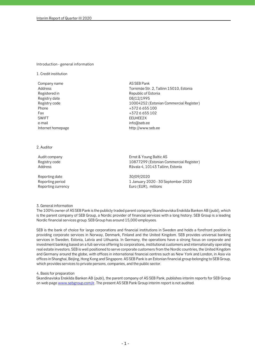#### **Introduction - general information**

**1. Credit institution**

**Company name AS SEB Pank Registered in Republic of Estonia Registry date 08/12/1995 Phone +372 6 655 100 Fax +372 6 655 102 SWIFT EEUHEE2X e-mail info@seb.ee Internet homepage http://www.seb.ee** 

**Address Tornimäe Str. 2, Tallinn 15010, Estonia Registry code 10004252 (Estonian Commercial Register)**

**2. Auditor**

**Reporting date 30/09/2020**

**Audit company Ernst & Young Baltic AS Registry code 10877299 (Estonian Commercial Register) Address Rävala 4, 10143 Tallinn, Estonia**

**Reporting period 1 January 2020 - 30 September 2020 Reporting currency Euro (EUR), millions**

**3. General information**

**The 100% owner of AS SEB Pank is the publicly traded parent company Skandinaviska Enskilda Banken AB (publ), which is the parent company of SEB Group, a Nordic provider of financial services with a long history. SEB Group is a leading Nordic financial services group. SEB Group has around 15,000 employees.** 

**SEB is the bank of choice for large corporations and financial institutions in Sweden and holds a forefront position in providing corporate services in Norway, Denmark, Finland and the United Kingdom. SEB provides universal banking services in Sweden, Estonia, Latvia and Lithuania. In Germany, the operations have a strong focus on corporate and investment banking based on a full-service offering to corporations, institutional customers and internationally operating real estate investors. SEB is well positioned to serve corporate customers from the Nordic countries, the United Kingdom and Germany around the globe, with offices in international financial centres such as New York and London, in Asia via offices in Shanghai, Beijing, Hong Kong and Singapore. AS SEB Pank is an Estonian financial group belonging to SEB Group, which provides services to private persons, companies, and the public sector.**

**4. Basis for preparation**

**Skandinaviska Enskilda Banken AB (publ), the parent company of AS SEB Pank, publishes interim reports for SEB Group on web page www.sebgroup.com/ir. The present AS SEB Pank Group interim report is not audited.**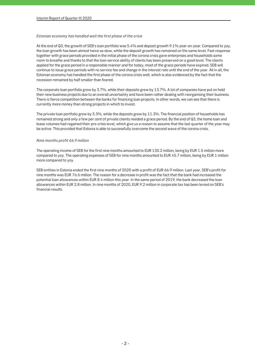#### **Estonian economy has handled well the first phase of the crisis**

**At the end of Q3, the growth of SEB's loan portfolio was 5.4% and deposit growth 9.1% year-on-year. Compared to yoy, the loan growth has been almost twice as slow, while the deposit growth has remained on the same level. Fast response together with grace periods provided in the initial phase of the corona crisis gave enterprises and households some room to breathe and thanks to that the loan service ability of clients has been preserved on a good level. The clients applied for the grace period in a responsible manner and for today, most of the grace periods have expired. SEB will continue to issue grace periods with no service fee and change in the interest rate until the end of the year. All in all, the Estonian economy has handled the first phase of the corona crisis well, which is also evidenced by the fact that the recession remained by half smaller than feared.**

**The corporate loan portfolio grew by 3.7%, while their deposits grew by 13.7%. A lot of companies have put on hold their new business projects due to an overall uncertainty and have been rather dealing with reorganising their business. There is fierce competition between the banks for financing loan projects. In other words, we can see that there is currently more money than strong projects in which to invest.**

**The private loan portfolio grew by 5.3%, while the deposits grew by 11.3%. The financial position of households has remained strong and only a few per cent of private clients needed a grace period. By the end of Q3, the home loan and lease volumes had regained their pre-crisis level, which give us a reason to assume that the last quarter of the year may be active. This provided that Estonia is able to successfully overcome the second wave of the corona crisis.**

#### **Nine months profit 66.9 million**

**The operating income of SEB for the first nine months amounted to EUR 130.2 million, being by EUR 1.5 million more compared to yoy. The operating expenses of SEB for nine months amounted to EUR 45.7 million, being by EUR 1 million more compared to yoy.**

**SEB entities in Estonia ended the first nine months of 2020 with a profit of EUR 66.9 million. Last year, SEB's profit for nine months was EUR 76.6 million. The reason for a decrease in profit was the fact that the bank had increased the potential loan allowances within EUR 8.4 million this year. In the same period of 2019, the bank decreased the loan allowances within EUR 2.8 million. In nine months of 2020, EUR 9.2 million in corporate tax has been levied on SEB's financial results.**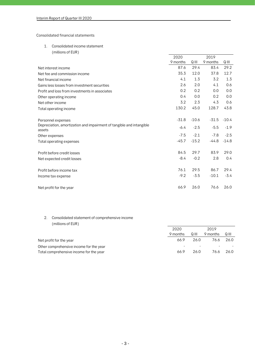# **Consolidated financial statements**

**1. Consolidated income statement**

| (millions of EUR)                                                              |          |         |          |         |
|--------------------------------------------------------------------------------|----------|---------|----------|---------|
|                                                                                | 2020     |         | 2019     |         |
|                                                                                | 9 months | QIII    | 9 months | QIII    |
| Net interest income                                                            | 87.6     | 29.4    | 83.4     | 29.2    |
| Net fee and commission income                                                  | 35.3     | 12.0    | 37.8     | 12.7    |
| Net financial income                                                           | 4.1      | 1.3     | 3.2      | 1.3     |
| Gains less losses from investment securities                                   | 2.6      | 2.0     | 4.1      | 0.6     |
| Profit and loss from investments in associates                                 | 0.2      | 0.2     | 0.0      | 0.0     |
| Other operating income                                                         | 0.4      | 0.0     | 0.2      | 0.0     |
| Net other income                                                               | 3.2      | 2.3     | 4.3      | 0.6     |
| Total operating income                                                         | 130.2    | 45.0    | 128.7    | 43.8    |
| Personnel expenses                                                             | $-31.8$  | $-10.6$ | $-31.5$  | $-10.4$ |
| Depreciation, amortization and impairment of tangible and intangible<br>assets | $-6.4$   | $-2.5$  | $-5.5$   | $-1.9$  |
| Other expenses                                                                 | $-7.5$   | $-2.1$  | $-7.8$   | $-2.5$  |
| Total operating expenses                                                       | $-45.7$  | $-15.2$ | $-44.8$  | $-14.8$ |
| Profit before credit losses                                                    | 84.5     | 29.7    | 83.9     | 29.0    |
| Net expected credit losses                                                     | $-8.4$   | $-0.2$  | 2.8      | 0.4     |
| Profit before income tax                                                       | 76.1     | 29.5    | 86.7     | 29.4    |
| Income tax expense                                                             | $-9.2$   | $-3.5$  | $-10.1$  | $-3.4$  |
| Net profit for the year                                                        | 66.9     | 26.0    | 76.6     | 26.0    |

# **2. Consolidated statement of comprehensive income (millions of EUR)**

|                                         | 2020     |       | 2019                         |       |
|-----------------------------------------|----------|-------|------------------------------|-------|
|                                         | 9 months | Q III | 9 months                     | Q III |
| Net profit for the year                 | 66.9     | 26.0  | 76.6                         | 26.0  |
| Other comprehensive income for the year | . .      |       | $\sim$ 100 $\sim$ 100 $\sim$ |       |
| Total comprehensive income for the year | 66.9     | 26.0  | 76.6                         | 26.0  |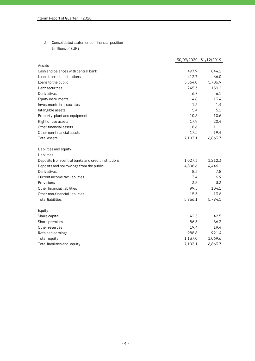**3. Consolidated statement of financial position (millions of EUR)**

|                                                     |         | 30/09/2020 31/12/2019 |
|-----------------------------------------------------|---------|-----------------------|
| Assets                                              |         |                       |
| Cash and balances with central bank                 | 497.9   | 844.1                 |
| Loans to credit institutions                        | 412.7   | 66.0                  |
| Loans to the public                                 | 5,864.0 | 5,706.9               |
| Debt securities                                     | 245.3   | 159.2                 |
| Derivatives                                         | 6.7     | 6.1                   |
| Equity instruments                                  | 14.8    | 13.4                  |
| Investments in associates                           | 1.5     | 1.4                   |
| Intangible assets                                   | 5.4     | 5.1                   |
| Property, plant and equipment                       | 10.8    | 10.6                  |
| Right of use assets                                 | 17.9    | 20.4                  |
| Other financial assets                              | 8.6     | 11.1                  |
| Other non-financial assets                          | 17.5    | 19.4                  |
| Total assets                                        | 7,103.1 | 6,863.7               |
| Liabilities and equity                              |         |                       |
| Liabilities                                         |         |                       |
| Deposits from central banks and credit institutions | 1,027.3 | 1,212.3               |
| Deposits and borrowings from the public             | 4,808.6 | 4,446.1               |
| Derivatives                                         | 8.3     | 7.8                   |
| Current income tax liabilities                      | 3.4     | 6.9                   |
| Provisions                                          | 3.8     | 3.3                   |
| Other financial liabilities                         | 99.5    | 104.1                 |
| Other non-financial liabilities                     | 15.3    | 13.6                  |
| <b>Total liabilities</b>                            | 5,966.1 | 5,794.1               |
| Equity                                              |         |                       |
| Share capital                                       | 42.5    | 42.5                  |
| Share premium                                       | 86.3    | 86.3                  |
| Other reserves                                      | 19.4    | 19.4                  |
| Retained earnings                                   | 988.8   | 921.4                 |
| Total equity                                        | 1,137.0 | 1,069.6               |
| Total liabilities and equity                        | 7,103.1 | 6,863.7               |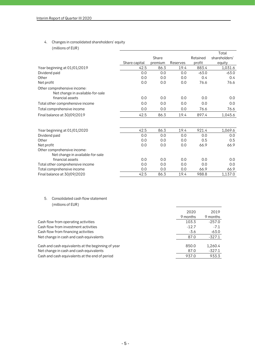# **4. Changes in consolidated shareholders' equity**

| (millions of EUR) |  |
|-------------------|--|
|-------------------|--|

|                                                                 |               |         |          |          | Total         |
|-----------------------------------------------------------------|---------------|---------|----------|----------|---------------|
|                                                                 |               | Share   |          | Retained | shareholders' |
|                                                                 | Share capital | premium | Reserves | profit   | equity        |
| Year beginning at 01/01/2019                                    | 42.5          | 86.3    | 19.4     | 883.4    | 1,031.6       |
| Dividend paid                                                   | 0.0           | 0.0     | 0.0      | $-63.0$  | $-63.0$       |
| Other                                                           | 0.0           | 0.0     | 0.0      | 0.4      | 0.4           |
| Net profit                                                      | 0.0           | 0.0     | 0.0      | 76.6     | 76.6          |
| Other comprehensive income:<br>Net change in available-for-sale |               |         |          |          |               |
| financial assets                                                | 0.0           | 0.0     | 0.0      | 0.0      | 0.0           |
| Total other comprehensive income                                | 0.0           | 0.0     | 0.0      | 0.0      | 0.0           |
| Total comprehensive income                                      | 0.0           | 0.0     | 0.0      | 76.6     | 76.6          |
| Final balance at 30/09/2019                                     | 42.5          | 86.3    | 19.4     | 897.4    | 1,045.6       |
|                                                                 |               |         |          |          |               |
| Year beginning at 01/01/2020                                    | 42.5          | 86.3    | 19.4     | 921.4    | 1,069.6       |
| Dividend paid                                                   | 0.0           | 0.0     | 0.0      | 0.0      | 0.0           |
| Other                                                           | 0.0           | 0.0     | 0.0      | 0.5      | 0.5           |
| Net profit                                                      | 0.0           | 0.0     | 0.0      | 66.9     | 66.9          |
| Other comprehensive income:<br>Net change in available-for-sale |               |         |          |          |               |
| financial assets                                                | 0.0           | 0.0     | 0.0      | 0.0      | 0.0           |
| Total other comprehensive income                                | 0.0           | 0.0     | 0.0      | 0.0      | 0.0           |
| Total comprehensive income                                      | 0.0           | 0.0     | 0.0      | 66.9     | 66.9          |
| Final balance at 30/09/2020                                     | 42.5          | 86.3    | 19.4     | 988.8    | 1,137.0       |

# **5. Consolidated cash flow statement (millions of EUR)**

|                                                    | 2020     | 2019     |
|----------------------------------------------------|----------|----------|
|                                                    | 9 months | 9 months |
| Cash flow from operating activities                | 103.3    | $-257.0$ |
| Cash flow from investment activities               | $-12.7$  | $-7.1$   |
| Cash flow from financing activities                | -3.6     | $-63.0$  |
| Net change in cash and cash equivalents            | 87.0     | $-327.1$ |
| Cash and cash equivalents at the beginning of year | 850.0    | 1.260.4  |
| Net change in cash and cash equivalents            | 87.0     | $-327.1$ |
| Cash and cash equivalents at the end of period     | 937.0    | 933.3    |
|                                                    |          |          |